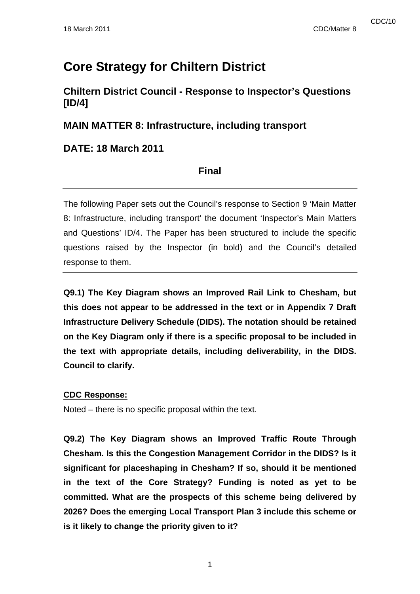# **Core Strategy for Chiltern District**

# **Chiltern District Council - Response to Inspector's Questions [ID/4]**

### **MAIN MATTER 8: Infrastructure, including transport**

### **DATE: 18 March 2011**

### **Final**

The following Paper sets out the Council's response to Section 9 'Main Matter 8: Infrastructure, including transport' the document 'Inspector's Main Matters and Questions' ID/4. The Paper has been structured to include the specific questions raised by the Inspector (in bold) and the Council's detailed response to them.

**Q9.1) The Key Diagram shows an Improved Rail Link to Chesham, but this does not appear to be addressed in the text or in Appendix 7 Draft Infrastructure Delivery Schedule (DIDS). The notation should be retained on the Key Diagram only if there is a specific proposal to be included in the text with appropriate details, including deliverability, in the DIDS. Council to clarify.** 

### **CDC Response:**

Noted – there is no specific proposal within the text.

**Q9.2) The Key Diagram shows an Improved Traffic Route Through Chesham. Is this the Congestion Management Corridor in the DIDS? Is it significant for placeshaping in Chesham? If so, should it be mentioned in the text of the Core Strategy? Funding is noted as yet to be committed. What are the prospects of this scheme being delivered by 2026? Does the emerging Local Transport Plan 3 include this scheme or is it likely to change the priority given to it?**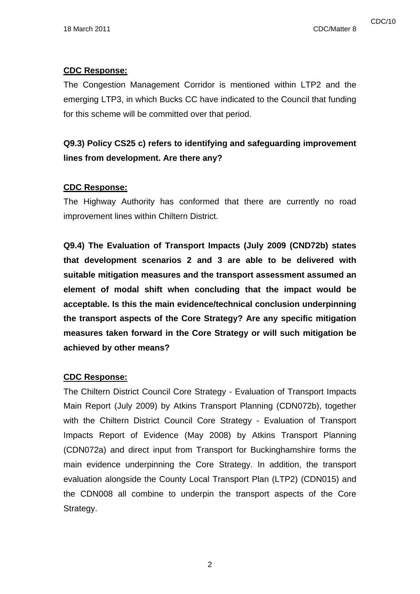### **CDC Response:**

The Congestion Management Corridor is mentioned within LTP2 and the emerging LTP3, in which Bucks CC have indicated to the Council that funding for this scheme will be committed over that period.

# **Q9.3) Policy CS25 c) refers to identifying and safeguarding improvement lines from development. Are there any?**

### **CDC Response:**

The Highway Authority has conformed that there are currently no road improvement lines within Chiltern District.

**Q9.4) The Evaluation of Transport Impacts (July 2009 (CND72b) states that development scenarios 2 and 3 are able to be delivered with suitable mitigation measures and the transport assessment assumed an element of modal shift when concluding that the impact would be acceptable. Is this the main evidence/technical conclusion underpinning the transport aspects of the Core Strategy? Are any specific mitigation measures taken forward in the Core Strategy or will such mitigation be achieved by other means?** 

#### **CDC Response:**

The Chiltern District Council Core Strategy - Evaluation of Transport Impacts Main Report (July 2009) by Atkins Transport Planning (CDN072b), together with the Chiltern District Council Core Strategy - Evaluation of Transport Impacts Report of Evidence (May 2008) by Atkins Transport Planning (CDN072a) and direct input from Transport for Buckinghamshire forms the main evidence underpinning the Core Strategy. In addition, the transport evaluation alongside the County Local Transport Plan (LTP2) (CDN015) and the CDN008 all combine to underpin the transport aspects of the Core Strategy.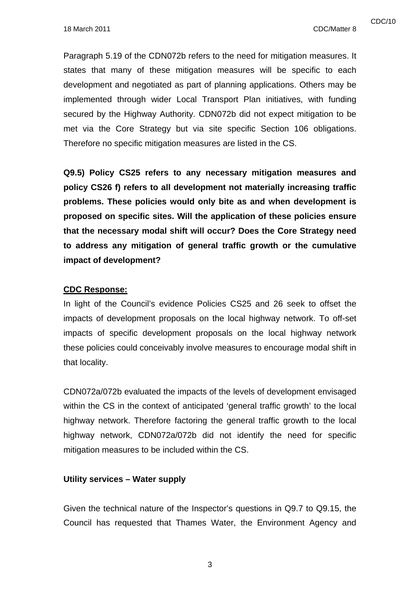Paragraph 5.19 of the CDN072b refers to the need for mitigation measures. It states that many of these mitigation measures will be specific to each development and negotiated as part of planning applications. Others may be implemented through wider Local Transport Plan initiatives, with funding secured by the Highway Authority. CDN072b did not expect mitigation to be met via the Core Strategy but via site specific Section 106 obligations. Therefore no specific mitigation measures are listed in the CS.

**Q9.5) Policy CS25 refers to any necessary mitigation measures and policy CS26 f) refers to all development not materially increasing traffic problems. These policies would only bite as and when development is proposed on specific sites. Will the application of these policies ensure that the necessary modal shift will occur? Does the Core Strategy need to address any mitigation of general traffic growth or the cumulative impact of development?** 

#### **CDC Response:**

In light of the Council's evidence Policies CS25 and 26 seek to offset the impacts of development proposals on the local highway network. To off-set impacts of specific development proposals on the local highway network these policies could conceivably involve measures to encourage modal shift in that locality.

CDN072a/072b evaluated the impacts of the levels of development envisaged within the CS in the context of anticipated 'general traffic growth' to the local highway network. Therefore factoring the general traffic growth to the local highway network, CDN072a/072b did not identify the need for specific mitigation measures to be included within the CS.

#### **Utility services – Water supply**

Given the technical nature of the Inspector's questions in Q9.7 to Q9.15, the Council has requested that Thames Water, the Environment Agency and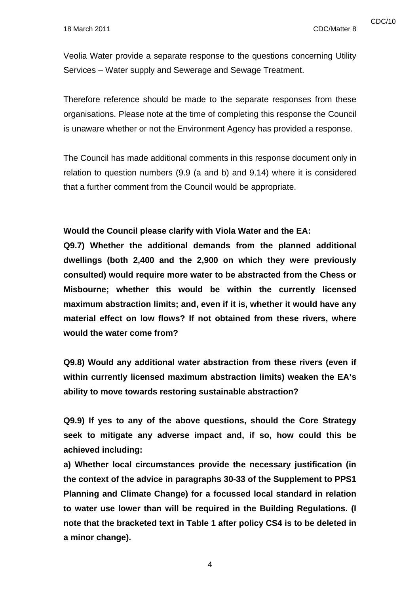Veolia Water provide a separate response to the questions concerning Utility Services – Water supply and Sewerage and Sewage Treatment.

Therefore reference should be made to the separate responses from these organisations. Please note at the time of completing this response the Council is unaware whether or not the Environment Agency has provided a response.

The Council has made additional comments in this response document only in relation to question numbers (9.9 (a and b) and 9.14) where it is considered that a further comment from the Council would be appropriate.

**Would the Council please clarify with Viola Water and the EA:** 

**Q9.7) Whether the additional demands from the planned additional dwellings (both 2,400 and the 2,900 on which they were previously consulted) would require more water to be abstracted from the Chess or Misbourne; whether this would be within the currently licensed maximum abstraction limits; and, even if it is, whether it would have any material effect on low flows? If not obtained from these rivers, where would the water come from?** 

**Q9.8) Would any additional water abstraction from these rivers (even if within currently licensed maximum abstraction limits) weaken the EA's ability to move towards restoring sustainable abstraction?** 

**Q9.9) If yes to any of the above questions, should the Core Strategy seek to mitigate any adverse impact and, if so, how could this be achieved including:** 

**a) Whether local circumstances provide the necessary justification (in the context of the advice in paragraphs 30-33 of the Supplement to PPS1 Planning and Climate Change) for a focussed local standard in relation to water use lower than will be required in the Building Regulations. (I note that the bracketed text in Table 1 after policy CS4 is to be deleted in a minor change).**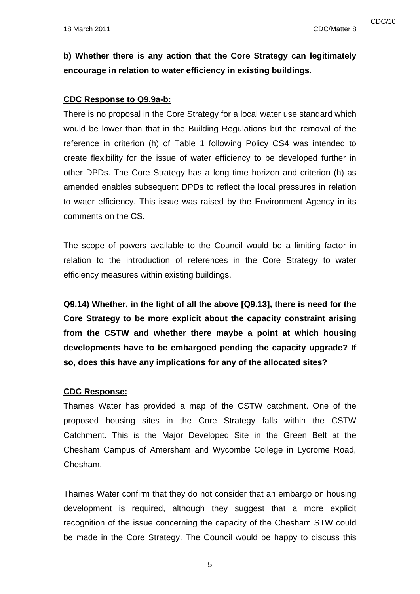**b) Whether there is any action that the Core Strategy can legitimately encourage in relation to water efficiency in existing buildings.** 

### **CDC Response to Q9.9a-b:**

There is no proposal in the Core Strategy for a local water use standard which would be lower than that in the Building Regulations but the removal of the reference in criterion (h) of Table 1 following Policy CS4 was intended to create flexibility for the issue of water efficiency to be developed further in other DPDs. The Core Strategy has a long time horizon and criterion (h) as amended enables subsequent DPDs to reflect the local pressures in relation to water efficiency. This issue was raised by the Environment Agency in its comments on the CS.

The scope of powers available to the Council would be a limiting factor in relation to the introduction of references in the Core Strategy to water efficiency measures within existing buildings.

**Q9.14) Whether, in the light of all the above [Q9.13], there is need for the Core Strategy to be more explicit about the capacity constraint arising from the CSTW and whether there maybe a point at which housing developments have to be embargoed pending the capacity upgrade? If so, does this have any implications for any of the allocated sites?** 

#### **CDC Response:**

Thames Water has provided a map of the CSTW catchment. One of the proposed housing sites in the Core Strategy falls within the CSTW Catchment. This is the Major Developed Site in the Green Belt at the Chesham Campus of Amersham and Wycombe College in Lycrome Road, Chesham.

Thames Water confirm that they do not consider that an embargo on housing development is required, although they suggest that a more explicit recognition of the issue concerning the capacity of the Chesham STW could be made in the Core Strategy. The Council would be happy to discuss this